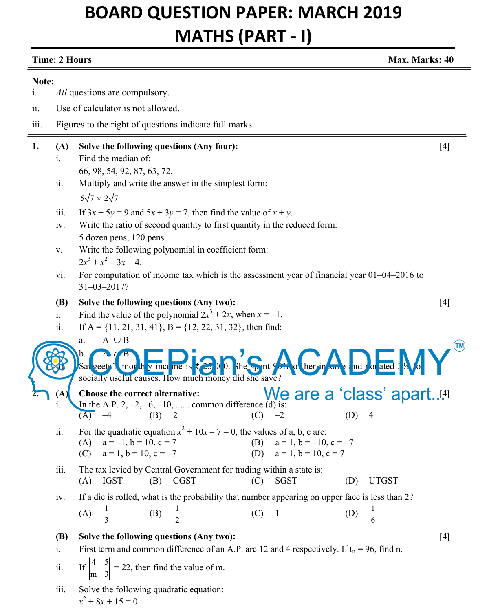# **BOARD QUESTION PAPER: MARCH 2019 MATHS (PART - I)**

| <b>Time: 2 Hours</b><br>Max. Marks: 40 |                                                                                                |                                                                                                                                                                                                                                    |       |  |  |  |
|----------------------------------------|------------------------------------------------------------------------------------------------|------------------------------------------------------------------------------------------------------------------------------------------------------------------------------------------------------------------------------------|-------|--|--|--|
| Note:                                  |                                                                                                |                                                                                                                                                                                                                                    |       |  |  |  |
| i.                                     |                                                                                                | All questions are compulsory.                                                                                                                                                                                                      |       |  |  |  |
| ii.                                    |                                                                                                | Use of calculator is not allowed.                                                                                                                                                                                                  |       |  |  |  |
| $\overline{\text{iii}}$ .              |                                                                                                | Figures to the right of questions indicate full marks.                                                                                                                                                                             |       |  |  |  |
| 1.                                     | (A)<br>1.<br>ii.                                                                               | Solve the following questions (Any four):<br>Find the median of:<br>66, 98, 54, 92, 87, 63, 72.<br>Multiply and write the answer in the simplest form:                                                                             | $[4]$ |  |  |  |
|                                        |                                                                                                | $5\sqrt{7} \times 2\sqrt{7}$                                                                                                                                                                                                       |       |  |  |  |
|                                        | iii.<br>iv.                                                                                    | If $3x + 5y = 9$ and $5x + 3y = 7$ , then find the value of $x + y$ .<br>Write the ratio of second quantity to first quantity in the reduced form:<br>5 dozen pens, 120 pens.                                                      |       |  |  |  |
|                                        | V.                                                                                             | Write the following polynomial in coefficient form:<br>$2x^3 + x^2 - 3x + 4$ .                                                                                                                                                     |       |  |  |  |
|                                        | vi.                                                                                            | For computation of income tax which is the assessment year of financial year 01–04–2016 to<br>$31 - 03 - 2017?$                                                                                                                    |       |  |  |  |
|                                        | <b>(B)</b>                                                                                     | Solve the following questions (Any two):                                                                                                                                                                                           | $[4]$ |  |  |  |
|                                        | $\mathbf{i}$ .                                                                                 | Find the value of the polynomial $2x^3 + 2x$ , when $x = -1$ .                                                                                                                                                                     |       |  |  |  |
|                                        | ii.                                                                                            | If A = {11, 21, 31, 41}, B = {12, 22, 31, 32}, then find:                                                                                                                                                                          |       |  |  |  |
|                                        |                                                                                                | $A \cup B$<br>a.<br>Sal geet? mor th y ince me is to be to be spint for a beginning on a nd of ated and<br>socially useful causes. How much money did she save?                                                                    |       |  |  |  |
|                                        | (A)<br>1.                                                                                      | We are a 'class' apart[4]<br>Choose the correct alternative:<br>In the A.P. 2, $-2$ , $-6$ , $-10$ ,  common difference (d) is:<br>$(A)$ $-4$<br>(B)<br>$-2$<br>2<br>(C)<br>(D)<br>4                                               |       |  |  |  |
|                                        | ii.                                                                                            | For the quadratic equation $x^2 + 10x - 7 = 0$ , the values of a, b, c are:<br>(A) $a = -1$ , $b = 10$ , $c = 7$<br>$a = 1, b = -10, c = -7$<br>(B)<br>$a = 1$ , $b = 10$ , $c = -7$<br>$a = 1$ , $b = 10$ , $c = 7$<br>(D)<br>(C) |       |  |  |  |
|                                        | iii.                                                                                           | The tax levied by Central Government for trading within a state is:<br><b>CGST</b><br><b>UTGST</b><br>(A)<br><b>IGST</b><br>(B)<br>(C)<br><b>SGST</b><br>(D)                                                                       |       |  |  |  |
|                                        | iv.                                                                                            | If a die is rolled, what is the probability that number appearing on upper face is less than 2?<br>(B) $\frac{1}{2}$<br>$\frac{1}{6}$<br>(A) $\frac{1}{3}$<br>$(C)$ 1<br>(D)                                                       |       |  |  |  |
|                                        | <b>(B)</b><br>$\mathbf{i}$ .                                                                   | Solve the following questions (Any two):                                                                                                                                                                                           | $[4]$ |  |  |  |
|                                        | First term and common difference of an A.P. are 12 and 4 respectively. If $t_n = 96$ , find n. |                                                                                                                                                                                                                                    |       |  |  |  |
|                                        | $\dddot{\mathbf{i}}$ .                                                                         | If $\begin{vmatrix} 4 & 5 \\ m & 3 \end{vmatrix}$ = 22, then find the value of m.                                                                                                                                                  |       |  |  |  |
|                                        | iii.                                                                                           | Solve the following quadratic equation:                                                                                                                                                                                            |       |  |  |  |

 $x^2 + 8x + 15 = 0.$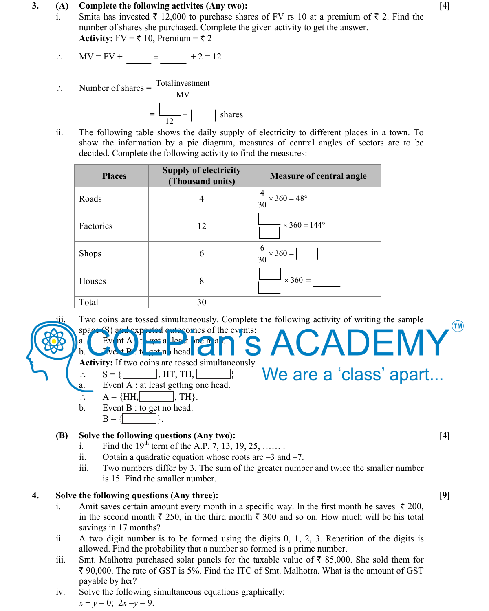#### **3. (A) Complete the following activites (Any two): [4]**

- i. Smita has invested  $\overline{\tau}$  12,000 to purchase shares of FV rs 10 at a premium of  $\overline{\tau}$  2. Find the number of shares she purchased. Complete the given activity to get the answer. **Activity:**  $FV = \overline{\xi} 10$ , Premium =  $\overline{\xi} 2$ 
	- MV = FV + + 2 = 12
- $\therefore$  Number of shares =  $\frac{\text{Total investment}}{\text{MV}}$  $=$   $\frac{1}{12}$  =  $\frac{1}{12}$  shares
	- ii. The following table shows the daily supply of electricity to different places in a town. To show the information by a pie diagram, measures of central angles of sectors are to be decided. Complete the following activity to find the measures:

| <b>Places</b> | <b>Supply of electricity</b><br>(Thousand units) | <b>Measure of central angle</b>        |
|---------------|--------------------------------------------------|----------------------------------------|
| Roads         | 4                                                | $\frac{4}{30} \times 360 = 48^{\circ}$ |
| Factories     | 12                                               | $\times$ 360 = 144 $\degree$           |
| <b>Shops</b>  | 6                                                | $\frac{6}{30} \times 360 =$            |
| Houses        | 8                                                | $\times$ 360 =                         |
| Total         | 30                                               |                                        |

Two coins are tossed simultaneously. Complete the following activity of writing the sample space (S) and expected quite comes of the events: ACADEMY

We are a 'class' apart...

 **Activity:** If two coins are tossed simultaneously

 $S = \{$  , HT, TH,  $\}$ 

a. Event A : at least getting one head.

b. Event  $\mathbf{P}$  to get no head.

- $A = \{HH, \Box, TH\}.$
- b. Event B : to get no head.  $B = \{$ .

 $\left[ \bigotimes_{\alpha} S_{\alpha} \right]$  a. Event A  $\left[ t \right]$  to  $t$  at least one head.

# **(B) Solve the following questions (Any two): [4]**

- i. Find the  $19^{th}$  term of the A.P. 7, 13, 19, 25, …...
- ii. Obtain a quadratic equation whose roots are  $-3$  and  $-7$ .
- iii. Two numbers differ by 3. The sum of the greater number and twice the smaller number is 15. Find the smaller number.

## **4. Solve the following questions (Any three): [9]**

- i. Amit saves certain amount every month in a specific way. In the first month he saves  $\bar{\tau}$  200, in the second month  $\bar{\tau}$  250, in the third month  $\bar{\tau}$  300 and so on. How much will be his total savings in 17 months?
- ii. A two digit number is to be formed using the digits 0, 1, 2, 3. Repetition of the digits is allowed. Find the probability that a number so formed is a prime number.
- iii. Smt. Malhotra purchased solar panels for the taxable value of  $\bar{\tau}$  85,000. She sold them for ` 90,000. The rate of GST is 5%. Find the ITC of Smt. Malhotra. What is the amount of GST payable by her?
- iv. Solve the following simultaneous equations graphically:  $x + y = 0$ ;  $2x - y = 9$ .